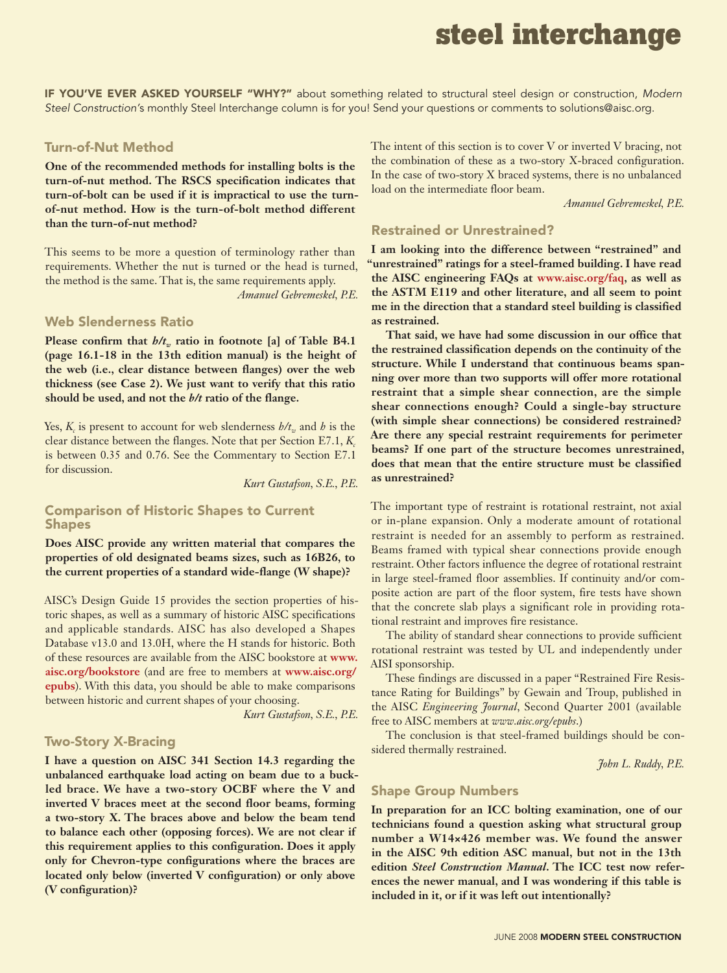# **steel interchange**

If you've ever asked yourself "why?" about something related to structural steel design or construction, *Modern Steel Construction'*s monthly Steel Interchange column is for you! Send your questions or comments to solutions@aisc.org.

#### Turn-of-Nut Method

**One of the recommended methods for installing bolts is the turn-of-nut method. The RSCS specification indicates that turn-of-bolt can be used if it is impractical to use the turnof-nut method. How is the turn-of-bolt method different than the turn-of-nut method?**

This seems to be more a question of terminology rather than requirements. Whether the nut is turned or the head is turned, the method is the same. That is, the same requirements apply.

*Amanuel Gebremeskel, P.E.*

#### Web Slenderness Ratio

**Please confirm that**  $h/t_w$  **ratio in footnote [a] of Table B4.1 (page 16.1-18 in the 13th edition manual) is the height of the web (i.e., clear distance between flanges) over the web thickness (see Case 2). We just want to verify that this ratio should be used, and not the** *b/t* **ratio of the flange.**

Yes,  $K_c$  is present to account for web slenderness  $h/t_w$  and *h* is the clear distance between the flanges. Note that per Section E7.1, *K<sub>c</sub>* is between 0.35 and 0.76. See the Commentary to Section E7.1 for discussion.

*Kurt Gustafson, S.E., P.E.*

#### Comparison of Historic Shapes to Current **Shapes**

**Does AISC provide any written material that compares the properties of old designated beams sizes, such as 16B26, to the current properties of a standard wide-flange (W shape)?**

AISC's Design Guide 15 provides the section properties of historic shapes, as well as a summary of historic AISC specifications and applicable standards. AISC has also developed a Shapes Database v13.0 and 13.0H, where the H stands for historic. Both of these resources are available from the AISC bookstore at **www. aisc.org/bookstore** (and are free to members at **www.aisc.org/ epubs**). With this data, you should be able to make comparisons between historic and current shapes of your choosing.

*Kurt Gustafson, S.E., P.E.*

#### Two-Story X-Bracing

**I have a question on AISC 341 Section 14.3 regarding the unbalanced earthquake load acting on beam due to a buckled brace. We have a two-story OCBF where the V and inverted V braces meet at the second floor beams, forming a two-story X. The braces above and below the beam tend to balance each other (opposing forces). We are not clear if this requirement applies to this configuration. Does it apply only for Chevron-type configurations where the braces are located only below (inverted V configuration) or only above (V configuration)?**

The intent of this section is to cover V or inverted V bracing, not the combination of these as a two-story X-braced configuration. In the case of two-story X braced systems, there is no unbalanced load on the intermediate floor beam.

*Amanuel Gebremeskel, P.E.*

## Restrained or Unrestrained?

**I am looking into the difference between "restrained" and "unrestrained" ratings for a steel-framed building. I have read the AISC engineering FAQs at www.aisc.org/faq, as well as the ASTM E119 and other literature, and all seem to point me in the direction that a standard steel building is classified as restrained.** 

**That said, we have had some discussion in our office that the restrained classification depends on the continuity of the structure. While I understand that continuous beams spanning over more than two supports will offer more rotational restraint that a simple shear connection, are the simple shear connections enough? Could a single-bay structure (with simple shear connections) be considered restrained? Are there any special restraint requirements for perimeter beams? If one part of the structure becomes unrestrained, does that mean that the entire structure must be classified as unrestrained?**

The important type of restraint is rotational restraint, not axial or in-plane expansion. Only a moderate amount of rotational restraint is needed for an assembly to perform as restrained. Beams framed with typical shear connections provide enough restraint. Other factors influence the degree of rotational restraint in large steel-framed floor assemblies. If continuity and/or composite action are part of the floor system, fire tests have shown that the concrete slab plays a significant role in providing rotational restraint and improves fire resistance.

The ability of standard shear connections to provide sufficient rotational restraint was tested by UL and independently under AISI sponsorship.

These findings are discussed in a paper "Restrained Fire Resistance Rating for Buildings" by Gewain and Troup, published in the AISC *Engineering Journal*, Second Quarter 2001 (available free to AISC members at *www.aisc.org/epubs*.)

The conclusion is that steel-framed buildings should be considered thermally restrained.

*John L. Ruddy, P.E.* 

#### Shape Group Numbers

**In preparation for an ICC bolting examination, one of our technicians found a question asking what structural group number a W14×426 member was. We found the answer in the AISC 9th edition ASC manual, but not in the 13th edition** *Steel Construction Manual***. The ICC test now references the newer manual, and I was wondering if this table is included in it, or if it was left out intentionally?**